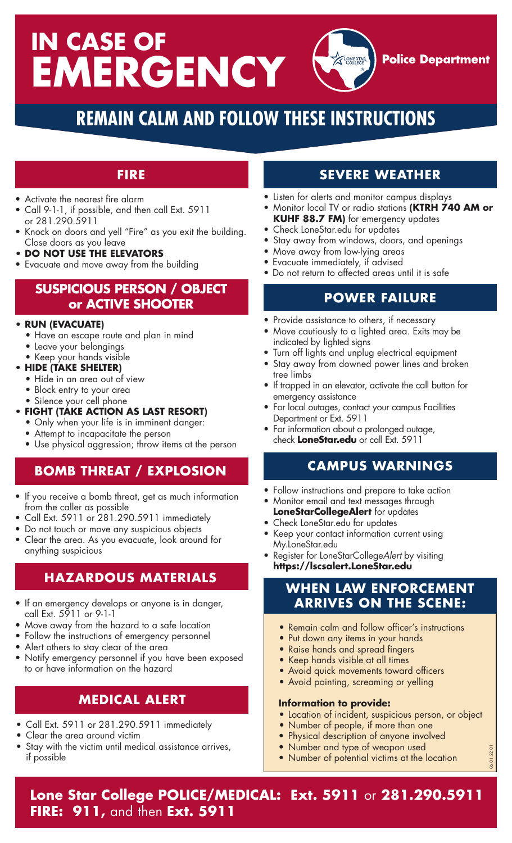# **IN CASE OF EMERGENCY Police Department**

# **REMAIN CALM AND FOLLOW THESE INSTRUCTIONS**

#### **FIRE**

- Activate the nearest fire alarm
- Call 9-1-1, if possible, and then call Ext. 5911 or 281.290.5911
- Knock on doors and yell "Fire" as you exit the building. Close doors as you leave
- **• DO NOT USE THE ELEVATORS**
- Evacuate and move away from the building

#### **SUSPICIOUS PERSON / OBJECT or ACTIVE SHOOTER**

#### **• RUN (EVACUATE)**

- **•** Have an escape route and plan in mind
- **•** Leave your belongings
- **•** Keep your hands visible

#### **• HIDE (TAKE SHELTER)**

- **•** Hide in an area out of view
- **•** Block entry to your area
- **•** Silence your cell phone
- **• FIGHT (TAKE ACTION AS LAST RESORT)**
	- **•** Only when your life is in imminent danger:
	- Attempt to incapacitate the person
	- Use physical aggression; throw items at the person

## **BOMB THREAT / EXPLOSION**

- If you receive a bomb threat, get as much information from the caller as possible
- Call Ext. 5911 or 281.290.5911 immediately
- Do not touch or move any suspicious objects
- Clear the area. As you evacuate, look around for anything suspicious

#### **HAZARDOUS MATERIALS**

- If an emergency develops or anyone is in danger, call Ext. 5911 or 9-1-1
- Move away from the hazard to a safe location
- Follow the instructions of emergency personnel
- Alert others to stay clear of the area
- Notify emergency personnel if you have been exposed to or have information on the hazard

## **MEDICAL ALERT**

- Call Ext. 5911 or 281.290.5911 immediately
- Clear the area around victim
- Stay with the victim until medical assistance arrives, if possible

## **SEVERE WEATHER**

- Listen for alerts and monitor campus displays
- Monitor local TV or radio stations **(KTRH 740 AM or KUHF 88.7 FM)** for emergency updates
- Check LoneStar.edu for updates
- Stay away from windows, doors, and openings
- Move away from low-lying areas
- Evacuate immediately, if advised
- Do not return to affected areas until it is safe

#### **POWER FAILURE**

- Provide assistance to others, if necessary
- Move cautiously to a lighted area. Exits may be indicated by lighted signs
- Turn off lights and unplug electrical equipment
- Stay away from downed power lines and broken tree limbs
- If trapped in an elevator, activate the call button for emergency assistance
- For local outages, contact your campus Facilities Department or Ext. 5911
- For information about a prolonged outage, check **LoneStar.edu** or call Ext. 5911

## **CAMPUS WARNINGS**

- Follow instructions and prepare to take action
- Monitor email and text messages through
- **LoneStarCollegeAlert** for updates
- Check LoneStar.edu for updates
- Keep your contact information current using My.LoneStar.edu
- Register for LoneStarCollege*Alert* by visiting **https://lscsalert.LoneStar.edu**

#### **WHEN LAW ENFORCEMENT ARRIVES ON THE SCENE:**

- **•** Remain calm and follow officer's instructions
- **•** Put down any items in your hands
- **•** Raise hands and spread fingers
- **•** Keep hands visible at all times
- **•** Avoid quick movements toward officers
- **•** Avoid pointing, screaming or yelling

#### **Information to provide:**

**•** Location of incident, suspicious person, or object

06.01.22.01

- **•** Number of people, if more than one
- Physical description of anyone involved
- Number and type of weapon used
- Number of potential victims at the location

**Lone Star College POLICE/MEDICAL: Ext. 5911** or **281.290.5911 FIRE: 911,** and then **Ext. 5911**